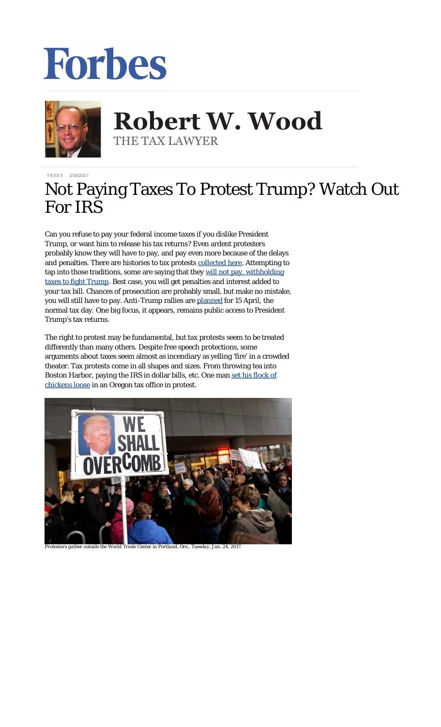## Forbes



**Robert W. Wood Robert W. Wood** THE TAX LAWYER THE TAX LAWYER

[TAXES](http://www.forbes.com/taxes) 2/16/2017

## Not Paying Taxes To Protest Trump? Watch Out For IRS

Can you refuse to pay your federal income taxes if you dislike President Trump, or want him to release his tax returns? Even ardent protesters probably know they will have to pay, and pay even more because of the delays and penalties. There are histories to tax protests [collected here.](http://www.alternet.org/story/15576/the_noble_american_traditon_of_tax_resistance) Attempting to tap into those traditions, some are saying that they [will not pay, withholding](https://www.theguardian.com/us-news/2017/feb/15/tax-refusing-pay-protest-trump) [taxes to fight Trump](https://www.theguardian.com/us-news/2017/feb/15/tax-refusing-pay-protest-trump). Best case, you will get penalties and interest added to your tax bill. Chances of prosecution are probably small, but make no mistake, you will still have to pay. Anti-Trump rallies are [planned](https://www.theguardian.com/world/2017/feb/05/womens-march-mass-protests-scientists-immigrants-climate-change) for 15 April, the normal tax day. One big focus, it appears, remains public access to President Trump's tax returns.

The right to protest may be fundamental, but tax protests seem to be treated differently than many others. Despite free speech protections, some arguments about taxes seem almost as incendiary as yelling 'fire' in a crowded theater. Tax protests come in all shapes and sizes. From throwing tea into Boston Harbor, paying the IRS in dollar bills, etc. One man [set his flock of](http://www.upi.com/Odd_News/2015/12/24/Oregon-man-sets-flock-of-chickens-loose-in-tax-office/4171450970174/) [chickens loose](http://www.upi.com/Odd_News/2015/12/24/Oregon-man-sets-flock-of-chickens-loose-in-tax-office/4171450970174/) in an Oregon tax office in protest.



*Protestors gather outside the World Trade Center in Portland, Ore., Tuesday, Jan. 24, 2017.*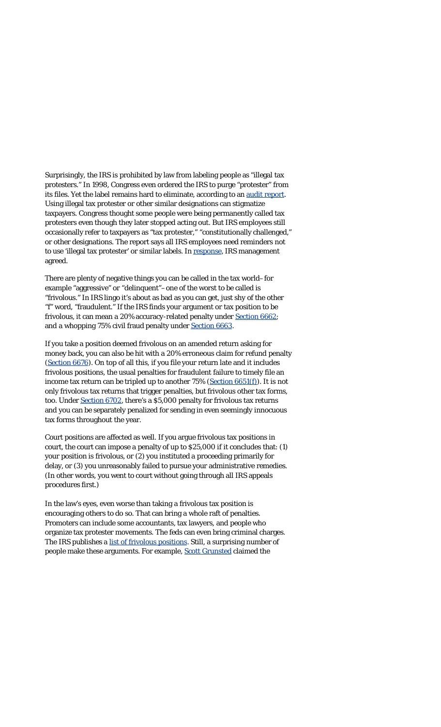Surprisingly, the IRS is prohibited by law from labeling people as "illegal tax protesters." In 1998, Congress even ordered the IRS to purge "protester" from its files. Yet the label remains hard to eliminate, according to an [audit report.](https://www.treasury.gov/tigta/auditreports/2015reports/201530067fr.html) Using illegal tax protester or other similar designations can stigmatize taxpayers. Congress thought some people were being permanently called tax protesters even though they later stopped acting out. But IRS employees still occasionally refer to taxpayers as "tax protester," "constitutionally challenged," or other designations. The report says all IRS employees need reminders not to use 'illegal tax protester' or similar labels. In [response](http://www.treas.gov/tigta/auditreports/2015reports/201530067fr.html), IRS management agreed.

There are plenty of negative things you can be called in the tax world–for example "aggressive" or "delinquent"–one of the worst to be called is "frivolous." In IRS lingo it's about as bad as you can get, just shy of the other "f" word, "fraudulent." If the IRS finds your argument or tax position to be frivolous, it can mean a 20% accuracy-related penalty under [Section 6662](http://www.taxalmanac.org/index.php/Internal_Revenue_Code_Sec._6662A.html); and a whopping 75% civil fraud penalty under [Section 6663](http://www.taxalmanac.org/index.php/Internal_Revenue_Code_Sec._6663.html).

If you take a position deemed frivolous on an amended return asking for money back, you can also be hit with a 20% erroneous claim for refund penalty ([Section 6676](http://www.taxalmanac.org/index.php/Internal_Revenue_Code_Sec._6676._SEC._6676.html)). On top of all this, if you file your return late and it includes frivolous positions, the usual penalties for fraudulent failure to timely file an income tax return can be tripled up to another 75% ([Section 6651\(f\)\)](http://www.law.cornell.edu/uscode/text/26/6651). It is not only frivolous tax returns that trigger penalties, but frivolous other tax forms, too. Under [Section 6702,](http://www.taxalmanac.org/index.php/Internal_Revenue_Code_Sec._6702.html) there's a \$5,000 penalty for frivolous tax returns and you can be separately penalized for sending in even seemingly innocuous tax forms throughout the year.

Court positions are affected as well. If you argue frivolous tax positions in court, the court can impose a penalty of up to \$25,000 if it concludes that: (1) your position is frivolous, or (2) you instituted a proceeding primarily for delay, or (3) you unreasonably failed to pursue your administrative remedies. (In other words, you went to court without going through all IRS appeals procedures first.)

In the law's eyes, even worse than taking a frivolous tax position is encouraging others to do so. That can bring a whole raft of penalties. Promoters can include some accountants, tax lawyers, and people who organize tax protester movements. The feds can even bring criminal charges. The IRS publishes a [list of frivolous positions.](https://www.irs.gov/tax-professionals/the-truth-about-frivolous-tax-arguments-introduction) Still, a surprising number of people make these arguments. For example, [Scott Grunsted](http://www.ustaxcourt.gov/InOpHistoric/GRUNSTED.TC.WPD.pdf) claimed the